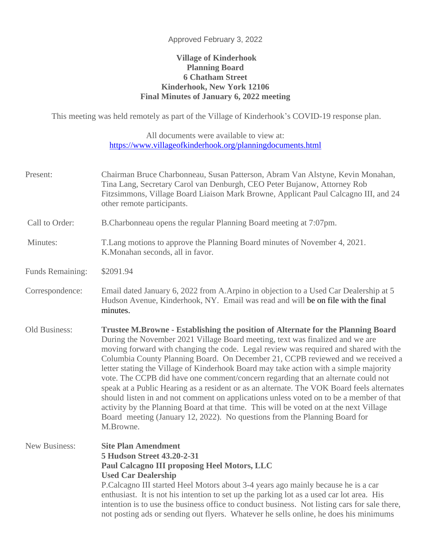## Approved February 3, 2022

## **Village of Kinderhook Planning Board 6 Chatham Street Kinderhook, New York 12106 Final Minutes of January 6, 2022 meeting**

This meeting was held remotely as part of the Village of Kinderhook's COVID-19 response plan.

All documents were available to view at: <https://www.villageofkinderhook.org/planningdocuments.html>

| Present:             | Chairman Bruce Charbonneau, Susan Patterson, Abram Van Alstyne, Kevin Monahan,<br>Tina Lang, Secretary Carol van Denburgh, CEO Peter Bujanow, Attorney Rob<br>Fitzsimmons, Village Board Liaison Mark Browne, Applicant Paul Calcagno III, and 24<br>other remote participants.                                                                                                                                                                                                                                                                                                                                                                                                                                                                                                                                                                                                                          |
|----------------------|----------------------------------------------------------------------------------------------------------------------------------------------------------------------------------------------------------------------------------------------------------------------------------------------------------------------------------------------------------------------------------------------------------------------------------------------------------------------------------------------------------------------------------------------------------------------------------------------------------------------------------------------------------------------------------------------------------------------------------------------------------------------------------------------------------------------------------------------------------------------------------------------------------|
| Call to Order:       | B.Charbonneau opens the regular Planning Board meeting at 7:07pm.                                                                                                                                                                                                                                                                                                                                                                                                                                                                                                                                                                                                                                                                                                                                                                                                                                        |
| Minutes:             | T. Lang motions to approve the Planning Board minutes of November 4, 2021.<br>K.Monahan seconds, all in favor.                                                                                                                                                                                                                                                                                                                                                                                                                                                                                                                                                                                                                                                                                                                                                                                           |
| Funds Remaining:     | \$2091.94                                                                                                                                                                                                                                                                                                                                                                                                                                                                                                                                                                                                                                                                                                                                                                                                                                                                                                |
| Correspondence:      | Email dated January 6, 2022 from A. Arpino in objection to a Used Car Dealership at 5<br>Hudson Avenue, Kinderhook, NY. Email was read and will be on file with the final<br>minutes.                                                                                                                                                                                                                                                                                                                                                                                                                                                                                                                                                                                                                                                                                                                    |
| Old Business:        | Trustee M.Browne - Establishing the position of Alternate for the Planning Board<br>During the November 2021 Village Board meeting, text was finalized and we are<br>moving forward with changing the code. Legal review was required and shared with the<br>Columbia County Planning Board. On December 21, CCPB reviewed and we received a<br>letter stating the Village of Kinderhook Board may take action with a simple majority<br>vote. The CCPB did have one comment/concern regarding that an alternate could not<br>speak at a Public Hearing as a resident or as an alternate. The VOK Board feels alternates<br>should listen in and not comment on applications unless voted on to be a member of that<br>activity by the Planning Board at that time. This will be voted on at the next Village<br>Board meeting (January 12, 2022). No questions from the Planning Board for<br>M.Browne. |
| <b>New Business:</b> | <b>Site Plan Amendment</b><br>5 Hudson Street 43.20-2-31<br>Paul Calcagno III proposing Heel Motors, LLC<br><b>Used Car Dealership</b><br>P.Calcagno III started Heel Motors about 3-4 years ago mainly because he is a car<br>enthusiast. It is not his intention to set up the parking lot as a used car lot area. His<br>intention is to use the business office to conduct business. Not listing cars for sale there,<br>not posting ads or sending out flyers. Whatever he sells online, he does his minimums                                                                                                                                                                                                                                                                                                                                                                                       |